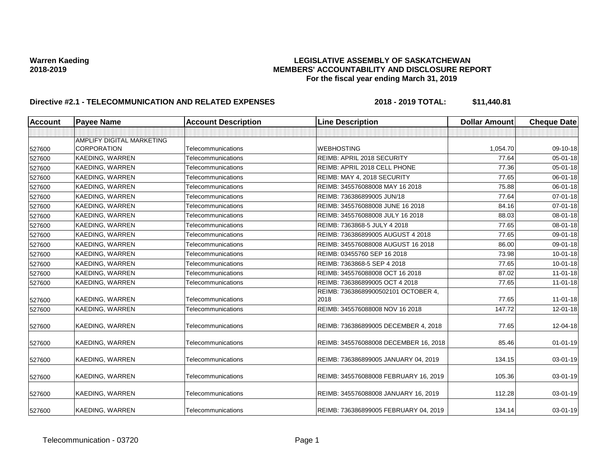| <b>Account</b> | <b>Payee Name</b>         | <b>Account Description</b> | <b>Line Description</b>               | <b>Dollar Amount</b> | <b>Cheque Date</b> |
|----------------|---------------------------|----------------------------|---------------------------------------|----------------------|--------------------|
|                |                           |                            |                                       |                      |                    |
|                | AMPLIFY DIGITAL MARKETING |                            |                                       |                      |                    |
| 527600         | <b>CORPORATION</b>        | Telecommunications         | <b>WEBHOSTING</b>                     | 1,054.70             | 09-10-18           |
| 527600         | <b>KAEDING, WARREN</b>    | Telecommunications         | REIMB: APRIL 2018 SECURITY            | 77.64                | $05 - 01 - 18$     |
| 527600         | <b>KAEDING, WARREN</b>    | Telecommunications         | REIMB: APRIL 2018 CELL PHONE          | 77.36                | 05-01-18           |
| 527600         | <b>KAEDING, WARREN</b>    | Telecommunications         | REIMB: MAY 4, 2018 SECURITY           | 77.65                | 06-01-18           |
| 527600         | <b>KAEDING, WARREN</b>    | Telecommunications         | REIMB: 345576088008 MAY 16 2018       | 75.88                | 06-01-18           |
| 527600         | <b>KAEDING, WARREN</b>    | Telecommunications         | REIMB: 736386899005 JUN/18            | 77.64                | 07-01-18           |
| 527600         | <b>KAEDING, WARREN</b>    | Telecommunications         | REIMB: 345576088008 JUNE 16 2018      | 84.16                | 07-01-18           |
| 527600         | KAEDING, WARREN           | Telecommunications         | REIMB: 345576088008 JULY 16 2018      | 88.03                | 08-01-18           |
| 527600         | KAEDING, WARREN           | Telecommunications         | REIMB: 7363868-5 JULY 4 2018          | 77.65                | 08-01-18           |
| 527600         | <b>KAEDING, WARREN</b>    | Telecommunications         | REIMB: 736386899005 AUGUST 4 2018     | 77.65                | 09-01-18           |
| 527600         | <b>KAEDING, WARREN</b>    | Telecommunications         | REIMB: 345576088008 AUGUST 16 2018    | 86.00                | 09-01-18           |
| 527600         | KAEDING, WARREN           | Telecommunications         | REIMB: 03455760 SEP 16 2018           | 73.98                | $10 - 01 - 18$     |
| 527600         | <b>KAEDING, WARREN</b>    | Telecommunications         | REIMB: 7363868-5 SEP 4 2018           | 77.65                | $10 - 01 - 18$     |
| 527600         | <b>KAEDING, WARREN</b>    | Telecommunications         | REIMB: 345576088008 OCT 16 2018       | 87.02                | $11-01-18$         |
| 527600         | KAEDING, WARREN           | Telecommunications         | REIMB: 736386899005 OCT 4 2018        | 77.65                | $11 - 01 - 18$     |
|                |                           |                            | REIMB: 73638689900502101 OCTOBER 4,   |                      |                    |
| 527600         | KAEDING, WARREN           | Telecommunications         | 2018                                  | 77.65                | $11-01-18$         |
| 527600         | <b>KAEDING, WARREN</b>    | Telecommunications         | REIMB: 345576088008 NOV 16 2018       | 147.72               | 12-01-18           |
| 527600         | KAEDING, WARREN           | Telecommunications         | REIMB: 736386899005 DECEMBER 4, 2018  | 77.65                | 12-04-18           |
| 527600         | <b>KAEDING, WARREN</b>    | Telecommunications         | REIMB: 345576088008 DECEMBER 16, 2018 | 85.46                | $01 - 01 - 19$     |
| 527600         | KAEDING, WARREN           | Telecommunications         | REIMB: 736386899005 JANUARY 04, 2019  | 134.15               | 03-01-19           |
| 527600         | <b>KAEDING, WARREN</b>    | Telecommunications         | REIMB: 345576088008 FEBRUARY 16, 2019 | 105.36               | 03-01-19           |
| 527600         | <b>KAEDING, WARREN</b>    | Telecommunications         | REIMB: 345576088008 JANUARY 16, 2019  | 112.28               | 03-01-19           |
| 527600         | <b>KAEDING, WARREN</b>    | Telecommunications         | REIMB: 736386899005 FEBRUARY 04, 2019 | 134.14               | 03-01-19           |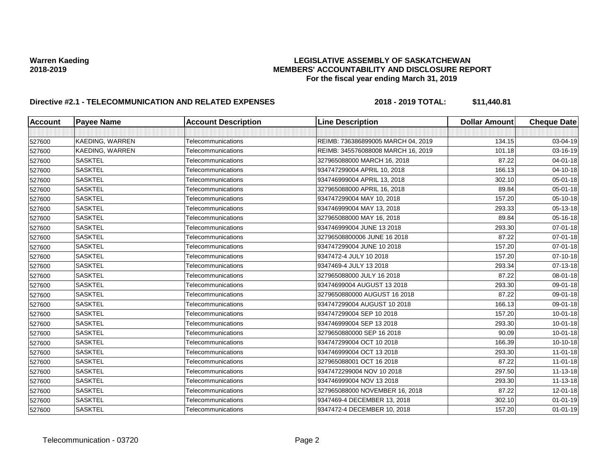| <b>Account</b> | <b>Payee Name</b>      | <b>Account Description</b> | <b>Line Description</b>            | <b>Dollar Amount</b> | <b>Cheque Date</b> |
|----------------|------------------------|----------------------------|------------------------------------|----------------------|--------------------|
|                |                        |                            |                                    |                      |                    |
| 527600         | <b>KAEDING, WARREN</b> | Telecommunications         | REIMB: 736386899005 MARCH 04, 2019 | 134.15               | 03-04-19           |
| 527600         | KAEDING, WARREN        | Telecommunications         | REIMB: 345576088008 MARCH 16, 2019 | 101.18               | 03-16-19           |
| 527600         | <b>SASKTEL</b>         | Telecommunications         | 327965088000 MARCH 16, 2018        | 87.22                | 04-01-18           |
| 527600         | <b>SASKTEL</b>         | Telecommunications         | 934747299004 APRIL 10, 2018        | 166.13               | 04-10-18           |
| 527600         | <b>SASKTEL</b>         | Telecommunications         | 934746999004 APRIL 13, 2018        | 302.10               | 05-01-18           |
| 527600         | <b>SASKTEL</b>         | Telecommunications         | 327965088000 APRIL 16, 2018        | 89.84                | 05-01-18           |
| 527600         | <b>SASKTEL</b>         | Telecommunications         | 934747299004 MAY 10, 2018          | 157.20               | 05-10-18           |
| 527600         | <b>SASKTEL</b>         | Telecommunications         | 934746999004 MAY 13, 2018          | 293.33               | 05-13-18           |
| 527600         | <b>SASKTEL</b>         | Telecommunications         | 327965088000 MAY 16, 2018          | 89.84                | 05-16-18           |
| 527600         | <b>SASKTEL</b>         | Telecommunications         | 934746999004 JUNE 13 2018          | 293.30               | 07-01-18           |
| 527600         | <b>SASKTEL</b>         | Telecommunications         | 32796508800006 JUNE 16 2018        | 87.22                | $07 - 01 - 18$     |
| 527600         | <b>SASKTEL</b>         | Telecommunications         | 934747299004 JUNE 10 2018          | 157.20               | $07 - 01 - 18$     |
| 527600         | <b>SASKTEL</b>         | Telecommunications         | 9347472-4 JULY 10 2018             | 157.20               | $07 - 10 - 18$     |
| 527600         | <b>SASKTEL</b>         | Telecommunications         | 9347469-4 JULY 13 2018             | 293.34               | 07-13-18           |
| 527600         | <b>SASKTEL</b>         | Telecommunications         | 327965088000 JULY 16 2018          | 87.22                | 08-01-18           |
| 527600         | <b>SASKTEL</b>         | Telecommunications         | 93474699004 AUGUST 13 2018         | 293.30               | 09-01-18           |
| 527600         | <b>SASKTEL</b>         | Telecommunications         | 3279650880000 AUGUST 16 2018       | 87.22                | 09-01-18           |
| 527600         | <b>SASKTEL</b>         | Telecommunications         | 934747299004 AUGUST 10 2018        | 166.13               | 09-01-18           |
| 527600         | <b>SASKTEL</b>         | Telecommunications         | 934747299004 SEP 10 2018           | 157.20               | $10 - 01 - 18$     |
| 527600         | <b>SASKTEL</b>         | Telecommunications         | 934746999004 SEP 13 2018           | 293.30               | $10 - 01 - 18$     |
| 527600         | <b>SASKTEL</b>         | Telecommunications         | 3279650880000 SEP 16 2018          | 90.09                | $10 - 01 - 18$     |
| 527600         | <b>SASKTEL</b>         | Telecommunications         | 934747299004 OCT 10 2018           | 166.39               | $10-10-18$         |
| 527600         | <b>SASKTEL</b>         | Telecommunications         | 934746999004 OCT 13 2018           | 293.30               | $11-01-18$         |
| 527600         | <b>SASKTEL</b>         | Telecommunications         | 327965088001 OCT 16 2018           | 87.22                | $11-01-18$         |
| 527600         | <b>SASKTEL</b>         | Telecommunications         | 9347472299004 NOV 10 2018          | 297.50               | 11-13-18           |
| 527600         | <b>SASKTEL</b>         | Telecommunications         | 934746999004 NOV 13 2018           | 293.30               | 11-13-18           |
| 527600         | <b>SASKTEL</b>         | Telecommunications         | 327965088000 NOVEMBER 16, 2018     | 87.22                | $12 - 01 - 18$     |
| 527600         | <b>SASKTEL</b>         | Telecommunications         | 9347469-4 DECEMBER 13, 2018        | 302.10               | $01 - 01 - 19$     |
| 527600         | <b>SASKTEL</b>         | Telecommunications         | 9347472-4 DECEMBER 10, 2018        | 157.20               | $01 - 01 - 19$     |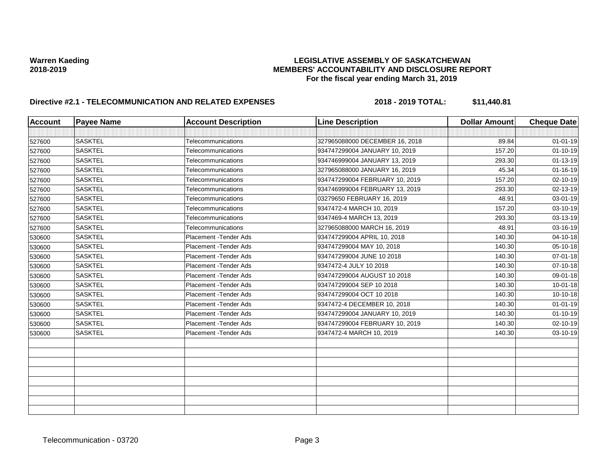| <b>Account</b> | <b>Payee Name</b> | <b>Account Description</b> | <b>Line Description</b>        | <b>Dollar Amount</b> | <b>Cheque Date</b> |
|----------------|-------------------|----------------------------|--------------------------------|----------------------|--------------------|
|                |                   |                            |                                |                      |                    |
| 527600         | <b>SASKTEL</b>    | Telecommunications         | 327965088000 DECEMBER 16, 2018 | 89.84                | $01 - 01 - 19$     |
| 527600         | <b>SASKTEL</b>    | Telecommunications         | 934747299004 JANUARY 10, 2019  | 157.20               | $01 - 10 - 19$     |
| 527600         | <b>SASKTEL</b>    | Telecommunications         | 934746999004 JANUARY 13, 2019  | 293.30               | $01 - 13 - 19$     |
| 527600         | <b>SASKTEL</b>    | Telecommunications         | 327965088000 JANUARY 16, 2019  | 45.34                | $01 - 16 - 19$     |
| 527600         | <b>SASKTEL</b>    | Telecommunications         | 934747299004 FEBRUARY 10, 2019 | 157.20               | 02-10-19           |
| 527600         | <b>SASKTEL</b>    | Telecommunications         | 934746999004 FEBRUARY 13, 2019 | 293.30               | 02-13-19           |
| 527600         | <b>SASKTEL</b>    | Telecommunications         | 03279650 FEBRUARY 16, 2019     | 48.91                | 03-01-19           |
| 527600         | <b>SASKTEL</b>    | Telecommunications         | 9347472-4 MARCH 10, 2019       | 157.20               | 03-10-19           |
| 527600         | <b>SASKTEL</b>    | Telecommunications         | 9347469-4 MARCH 13, 2019       | 293.30               | 03-13-19           |
| 527600         | <b>SASKTEL</b>    | Telecommunications         | 327965088000 MARCH 16, 2019    | 48.91                | 03-16-19           |
| 530600         | SASKTEL           | Placement - Tender Ads     | 934747299004 APRIL 10, 2018    | 140.30               | 04-10-18           |
| 530600         | <b>SASKTEL</b>    | Placement - Tender Ads     | 934747299004 MAY 10, 2018      | 140.30               | $05 - 10 - 18$     |
| 530600         | <b>SASKTEL</b>    | Placement - Tender Ads     | 934747299004 JUNE 10 2018      | 140.30               | $07 - 01 - 18$     |
| 530600         | <b>SASKTEL</b>    | Placement - Tender Ads     | 9347472-4 JULY 10 2018         | 140.30               | 07-10-18           |
| 530600         | <b>SASKTEL</b>    | Placement - Tender Ads     | 934747299004 AUGUST 10 2018    | 140.30               | 09-01-18           |
| 530600         | <b>SASKTEL</b>    | Placement - Tender Ads     | 934747299004 SEP 10 2018       | 140.30               | $10 - 01 - 18$     |
| 530600         | <b>SASKTEL</b>    | Placement - Tender Ads     | 934747299004 OCT 10 2018       | 140.30               | $10-10-18$         |
| 530600         | <b>SASKTEL</b>    | Placement - Tender Ads     | 9347472-4 DECEMBER 10, 2018    | 140.30               | $01 - 01 - 19$     |
| 530600         | <b>SASKTEL</b>    | Placement - Tender Ads     | 934747299004 JANUARY 10, 2019  | 140.30               | $01 - 10 - 19$     |
| 530600         | <b>SASKTEL</b>    | Placement - Tender Ads     | 934747299004 FEBRUARY 10, 2019 | 140.30               | 02-10-19           |
| 530600         | <b>SASKTEL</b>    | Placement - Tender Ads     | 9347472-4 MARCH 10, 2019       | 140.30               | 03-10-19           |
|                |                   |                            |                                |                      |                    |
|                |                   |                            |                                |                      |                    |
|                |                   |                            |                                |                      |                    |
|                |                   |                            |                                |                      |                    |
|                |                   |                            |                                |                      |                    |
|                |                   |                            |                                |                      |                    |
|                |                   |                            |                                |                      |                    |
|                |                   |                            |                                |                      |                    |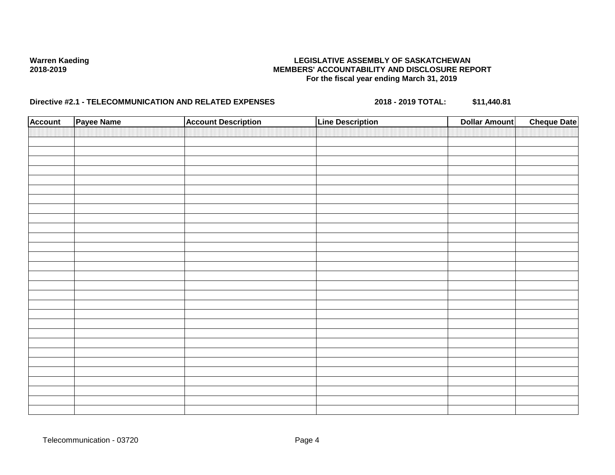| <b>Account</b> | Payee Name | <b>Account Description</b> | <b>Line Description</b> | <b>Dollar Amount</b> | <b>Cheque Date</b> |
|----------------|------------|----------------------------|-------------------------|----------------------|--------------------|
|                |            |                            |                         |                      |                    |
|                |            |                            |                         |                      |                    |
|                |            |                            |                         |                      |                    |
|                |            |                            |                         |                      |                    |
|                |            |                            |                         |                      |                    |
|                |            |                            |                         |                      |                    |
|                |            |                            |                         |                      |                    |
|                |            |                            |                         |                      |                    |
|                |            |                            |                         |                      |                    |
|                |            |                            |                         |                      |                    |
|                |            |                            |                         |                      |                    |
|                |            |                            |                         |                      |                    |
|                |            |                            |                         |                      |                    |
|                |            |                            |                         |                      |                    |
|                |            |                            |                         |                      |                    |
|                |            |                            |                         |                      |                    |
|                |            |                            |                         |                      |                    |
|                |            |                            |                         |                      |                    |
|                |            |                            |                         |                      |                    |
|                |            |                            |                         |                      |                    |
|                |            |                            |                         |                      |                    |
|                |            |                            |                         |                      |                    |
|                |            |                            |                         |                      |                    |
|                |            |                            |                         |                      |                    |
|                |            |                            |                         |                      |                    |
|                |            |                            |                         |                      |                    |
|                |            |                            |                         |                      |                    |
|                |            |                            |                         |                      |                    |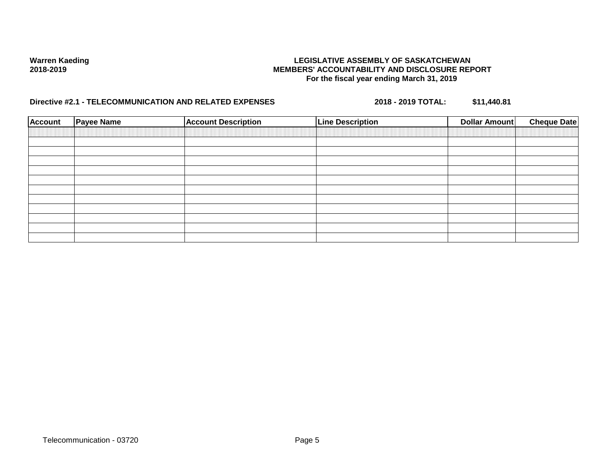| <b>Account</b> | <b>Payee Name</b> | <b>Account Description</b> | <b>Line Description</b> | <b>Cheque Date</b><br>Dollar Amount |
|----------------|-------------------|----------------------------|-------------------------|-------------------------------------|
|                |                   |                            |                         |                                     |
|                |                   |                            |                         |                                     |
|                |                   |                            |                         |                                     |
|                |                   |                            |                         |                                     |
|                |                   |                            |                         |                                     |
|                |                   |                            |                         |                                     |
|                |                   |                            |                         |                                     |
|                |                   |                            |                         |                                     |
|                |                   |                            |                         |                                     |
|                |                   |                            |                         |                                     |
|                |                   |                            |                         |                                     |
|                |                   |                            |                         |                                     |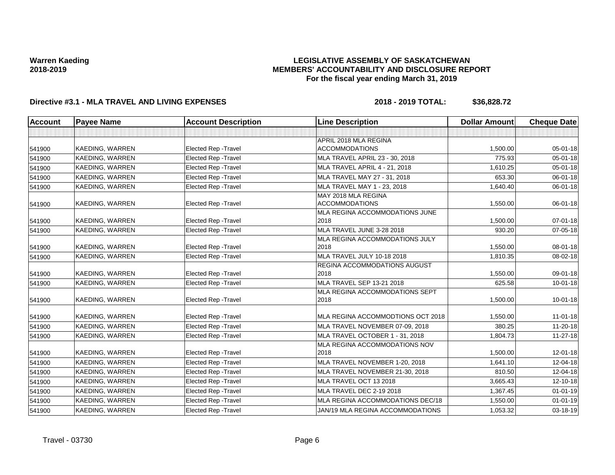### **LEGISLATIVE ASSEMBLY OF SASKATCHEWAN MEMBERS' ACCOUNTABILITY AND DISCLOSURE REPORT For the fiscal year ending March 31, 2019**

| Account | <b>Payee Name</b>      | <b>Account Description</b>  | <b>Line Description</b>             | <b>Dollar Amount</b> | <b>Cheque Date</b> |
|---------|------------------------|-----------------------------|-------------------------------------|----------------------|--------------------|
|         |                        |                             |                                     |                      |                    |
|         |                        |                             | APRIL 2018 MLA REGINA               |                      |                    |
| 541900  | <b>KAEDING, WARREN</b> | <b>Elected Rep - Travel</b> | <b>ACCOMMODATIONS</b>               | 1,500.00             | 05-01-18           |
| 541900  | <b>KAEDING, WARREN</b> | Elected Rep - Travel        | MLA TRAVEL APRIL 23 - 30, 2018      | 775.93               | 05-01-18           |
| 541900  | KAEDING, WARREN        | Elected Rep - Travel        | MLA TRAVEL APRIL 4 - 21, 2018       | 1,610.25             | $05 - 01 - 18$     |
| 541900  | <b>KAEDING, WARREN</b> | Elected Rep - Travel        | MLA TRAVEL MAY 27 - 31, 2018        | 653.30               | 06-01-18           |
| 541900  | <b>KAEDING, WARREN</b> | <b>Elected Rep - Travel</b> | MLA TRAVEL MAY 1 - 23, 2018         | 1,640.40             | 06-01-18           |
|         |                        |                             | MAY 2018 MLA REGINA                 |                      |                    |
| 541900  | <b>KAEDING, WARREN</b> | <b>Elected Rep - Travel</b> | <b>ACCOMMODATIONS</b>               | 1,550.00             | 06-01-18           |
|         |                        |                             | MLA REGINA ACCOMMODATIONS JUNE      |                      |                    |
| 541900  | <b>KAEDING, WARREN</b> | <b>Elected Rep - Travel</b> | 2018                                | 1,500.00             | $07 - 01 - 18$     |
| 541900  | <b>KAEDING, WARREN</b> | Elected Rep - Travel        | MLA TRAVEL JUNE 3-28 2018           | 930.20               | 07-05-18           |
|         |                        |                             | MLA REGINA ACCOMMODATIONS JULY      |                      |                    |
| 541900  | <b>KAEDING, WARREN</b> | <b>Elected Rep - Travel</b> | 2018                                | 1,550.00             | 08-01-18           |
| 541900  | <b>KAEDING, WARREN</b> | Elected Rep - Travel        | MLA TRAVEL JULY 10-18 2018          | 1,810.35             | 08-02-18           |
|         |                        |                             | <b>REGINA ACCOMMODATIONS AUGUST</b> |                      |                    |
| 541900  | <b>KAEDING, WARREN</b> | <b>Elected Rep - Travel</b> | 2018                                | 1,550.00             | 09-01-18           |
| 541900  | KAEDING, WARREN        | <b>Elected Rep - Travel</b> | MLA TRAVEL SEP 13-21 2018           | 625.58               | $10 - 01 - 18$     |
|         |                        |                             | MLA REGINA ACCOMMODATIONS SEPT      |                      |                    |
| 541900  | <b>KAEDING, WARREN</b> | <b>Elected Rep - Travel</b> | 2018                                | 1,500.00             | $10 - 01 - 18$     |
|         |                        |                             |                                     |                      |                    |
| 541900  | <b>KAEDING, WARREN</b> | <b>Elected Rep - Travel</b> | MLA REGINA ACCOMMODTIONS OCT 2018   | 1,550.00             | $11 - 01 - 18$     |
| 541900  | KAEDING, WARREN        | Elected Rep - Travel        | MLA TRAVEL NOVEMBER 07-09, 2018     | 380.25               | 11-20-18           |
| 541900  | <b>KAEDING, WARREN</b> | <b>Elected Rep - Travel</b> | MLA TRAVEL OCTOBER 1 - 31, 2018     | 1,804.73             | 11-27-18           |
|         |                        |                             | MLA REGINA ACCOMMODATIONS NOV       |                      |                    |
| 541900  | <b>KAEDING, WARREN</b> | <b>Elected Rep - Travel</b> | 2018                                | 1,500.00             | 12-01-18           |
| 541900  | <b>KAEDING, WARREN</b> | <b>Elected Rep - Travel</b> | MLA TRAVEL NOVEMBER 1-20, 2018      | 1,641.10             | 12-04-18           |
| 541900  | KAEDING, WARREN        | Elected Rep - Travel        | MLA TRAVEL NOVEMBER 21-30, 2018     | 810.50               | 12-04-18           |
| 541900  | KAEDING, WARREN        | <b>Elected Rep - Travel</b> | MLA TRAVEL OCT 13 2018              | 3,665.43             | 12-10-18           |
| 541900  | KAEDING, WARREN        | Elected Rep - Travel        | MLA TRAVEL DEC 2-19 2018            | 1,367.45             | $01 - 01 - 19$     |
| 541900  | KAEDING, WARREN        | Elected Rep - Travel        | MLA REGINA ACCOMMODATIONS DEC/18    | 1,550.00             | $01 - 01 - 19$     |
| 541900  | <b>KAEDING, WARREN</b> | <b>Elected Rep - Travel</b> | JAN/19 MLA REGINA ACCOMMODATIONS    | 1,053.32             | 03-18-19           |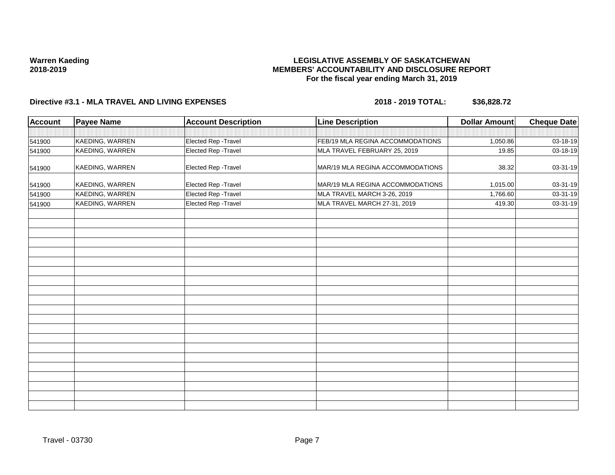## **LEGISLATIVE ASSEMBLY OF SASKATCHEWAN MEMBERS' ACCOUNTABILITY AND DISCLOSURE REPORT For the fiscal year ending March 31, 2019**

| <b>Account</b> | <b>Payee Name</b> | <b>Account Description</b> | <b>Line Description</b>          | <b>Dollar Amount</b> | <b>Cheque Date</b> |
|----------------|-------------------|----------------------------|----------------------------------|----------------------|--------------------|
|                |                   |                            |                                  |                      |                    |
| 541900         | KAEDING, WARREN   | Elected Rep - Travel       | FEB/19 MLA REGINA ACCOMMODATIONS | 1,050.86             | 03-18-19           |
| 541900         | KAEDING, WARREN   | Elected Rep - Travel       | MLA TRAVEL FEBRUARY 25, 2019     | 19.85                | 03-18-19           |
| 541900         | KAEDING, WARREN   | Elected Rep - Travel       | MAR/19 MLA REGINA ACCOMMODATIONS | 38.32                | 03-31-19           |
| 541900         | KAEDING, WARREN   | Elected Rep - Travel       | MAR/19 MLA REGINA ACCOMMODATIONS | 1,015.00             | 03-31-19           |
| 541900         | KAEDING, WARREN   | Elected Rep - Travel       | MLA TRAVEL MARCH 3-26, 2019      | 1,766.60             | 03-31-19           |
| 541900         | KAEDING, WARREN   | Elected Rep - Travel       | MLA TRAVEL MARCH 27-31, 2019     | 419.30               | 03-31-19           |
|                |                   |                            |                                  |                      |                    |
|                |                   |                            |                                  |                      |                    |
|                |                   |                            |                                  |                      |                    |
|                |                   |                            |                                  |                      |                    |
|                |                   |                            |                                  |                      |                    |
|                |                   |                            |                                  |                      |                    |
|                |                   |                            |                                  |                      |                    |
|                |                   |                            |                                  |                      |                    |
|                |                   |                            |                                  |                      |                    |
|                |                   |                            |                                  |                      |                    |
|                |                   |                            |                                  |                      |                    |
|                |                   |                            |                                  |                      |                    |
|                |                   |                            |                                  |                      |                    |
|                |                   |                            |                                  |                      |                    |
|                |                   |                            |                                  |                      |                    |
|                |                   |                            |                                  |                      |                    |
|                |                   |                            |                                  |                      |                    |
|                |                   |                            |                                  |                      |                    |
|                |                   |                            |                                  |                      |                    |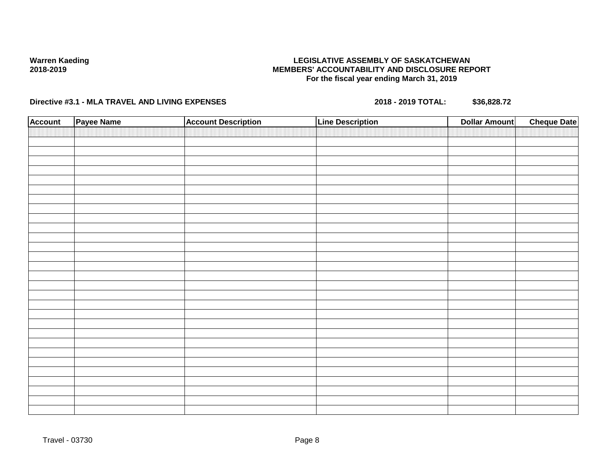## **LEGISLATIVE ASSEMBLY OF SASKATCHEWAN MEMBERS' ACCOUNTABILITY AND DISCLOSURE REPORT For the fiscal year ending March 31, 2019**

| <b>Account</b> | Payee Name | <b>Account Description</b> | <b>Line Description</b> | <b>Dollar Amount</b> | <b>Cheque Date</b> |
|----------------|------------|----------------------------|-------------------------|----------------------|--------------------|
|                |            |                            |                         |                      |                    |
|                |            |                            |                         |                      |                    |
|                |            |                            |                         |                      |                    |
|                |            |                            |                         |                      |                    |
|                |            |                            |                         |                      |                    |
|                |            |                            |                         |                      |                    |
|                |            |                            |                         |                      |                    |
|                |            |                            |                         |                      |                    |
|                |            |                            |                         |                      |                    |
|                |            |                            |                         |                      |                    |
|                |            |                            |                         |                      |                    |
|                |            |                            |                         |                      |                    |
|                |            |                            |                         |                      |                    |
|                |            |                            |                         |                      |                    |
|                |            |                            |                         |                      |                    |
|                |            |                            |                         |                      |                    |
|                |            |                            |                         |                      |                    |
|                |            |                            |                         |                      |                    |
|                |            |                            |                         |                      |                    |
|                |            |                            |                         |                      |                    |
|                |            |                            |                         |                      |                    |
|                |            |                            |                         |                      |                    |
|                |            |                            |                         |                      |                    |
|                |            |                            |                         |                      |                    |
|                |            |                            |                         |                      |                    |
|                |            |                            |                         |                      |                    |
|                |            |                            |                         |                      |                    |
|                |            |                            |                         |                      |                    |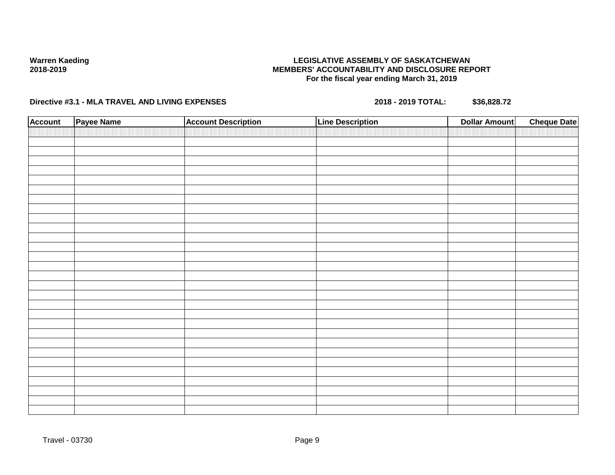## **LEGISLATIVE ASSEMBLY OF SASKATCHEWAN MEMBERS' ACCOUNTABILITY AND DISCLOSURE REPORT For the fiscal year ending March 31, 2019**

| <b>Account</b> | Payee Name | <b>Account Description</b> | <b>Line Description</b> | <b>Dollar Amount</b> | <b>Cheque Date</b> |
|----------------|------------|----------------------------|-------------------------|----------------------|--------------------|
|                |            |                            |                         |                      |                    |
|                |            |                            |                         |                      |                    |
|                |            |                            |                         |                      |                    |
|                |            |                            |                         |                      |                    |
|                |            |                            |                         |                      |                    |
|                |            |                            |                         |                      |                    |
|                |            |                            |                         |                      |                    |
|                |            |                            |                         |                      |                    |
|                |            |                            |                         |                      |                    |
|                |            |                            |                         |                      |                    |
|                |            |                            |                         |                      |                    |
|                |            |                            |                         |                      |                    |
|                |            |                            |                         |                      |                    |
|                |            |                            |                         |                      |                    |
|                |            |                            |                         |                      |                    |
|                |            |                            |                         |                      |                    |
|                |            |                            |                         |                      |                    |
|                |            |                            |                         |                      |                    |
|                |            |                            |                         |                      |                    |
|                |            |                            |                         |                      |                    |
|                |            |                            |                         |                      |                    |
|                |            |                            |                         |                      |                    |
|                |            |                            |                         |                      |                    |
|                |            |                            |                         |                      |                    |
|                |            |                            |                         |                      |                    |
|                |            |                            |                         |                      |                    |
|                |            |                            |                         |                      |                    |
|                |            |                            |                         |                      |                    |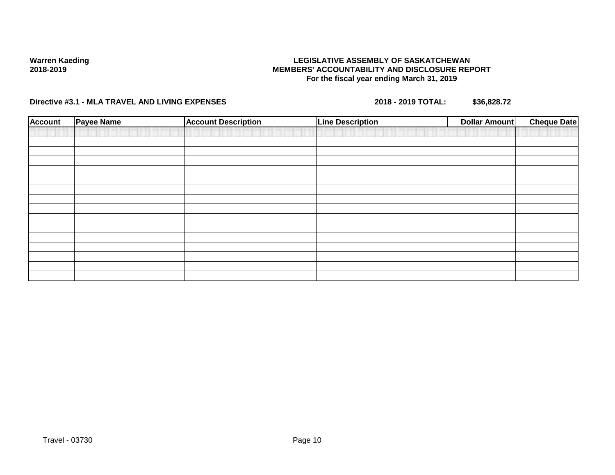## **LEGISLATIVE ASSEMBLY OF SASKATCHEWAN MEMBERS' ACCOUNTABILITY AND DISCLOSURE REPORT For the fiscal year ending March 31, 2019**

| <b>Account</b> | <b>Payee Name</b> | <b>Account Description</b> | <b>Line Description</b> | <b>Cheque Date</b><br><b>Dollar Amount</b> |
|----------------|-------------------|----------------------------|-------------------------|--------------------------------------------|
|                |                   |                            |                         |                                            |
|                |                   |                            |                         |                                            |
|                |                   |                            |                         |                                            |
|                |                   |                            |                         |                                            |
|                |                   |                            |                         |                                            |
|                |                   |                            |                         |                                            |
|                |                   |                            |                         |                                            |
|                |                   |                            |                         |                                            |
|                |                   |                            |                         |                                            |
|                |                   |                            |                         |                                            |
|                |                   |                            |                         |                                            |
|                |                   |                            |                         |                                            |
|                |                   |                            |                         |                                            |
|                |                   |                            |                         |                                            |
|                |                   |                            |                         |                                            |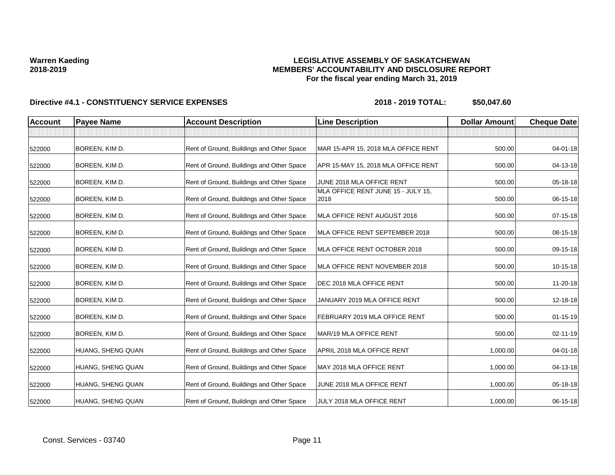## **LEGISLATIVE ASSEMBLY OF SASKATCHEWAN MEMBERS' ACCOUNTABILITY AND DISCLOSURE REPORT For the fiscal year ending March 31, 2019**

| <b>Account</b> | <b>Payee Name</b> | <b>Account Description</b>                | <b>Line Description</b>                    | <b>Dollar Amount</b> | <b>Cheque Date</b> |
|----------------|-------------------|-------------------------------------------|--------------------------------------------|----------------------|--------------------|
|                |                   |                                           |                                            |                      |                    |
| 522000         | BOREEN, KIM D.    | Rent of Ground, Buildings and Other Space | MAR 15-APR 15, 2018 MLA OFFICE RENT        | 500.00               | 04-01-18           |
| 522000         | BOREEN, KIM D.    | Rent of Ground, Buildings and Other Space | APR 15-MAY 15, 2018 MLA OFFICE RENT        | 500.00               | 04-13-18           |
| 522000         | BOREEN, KIM D.    | Rent of Ground, Buildings and Other Space | JUNE 2018 MLA OFFICE RENT                  | 500.00               | 05-18-18           |
| 522000         | BOREEN, KIM D.    | Rent of Ground, Buildings and Other Space | MLA OFFICE RENT JUNE 15 - JULY 15,<br>2018 | 500.00               | 06-15-18           |
| 522000         | BOREEN, KIM D.    | Rent of Ground, Buildings and Other Space | MLA OFFICE RENT AUGUST 2018                | 500.00               | $07 - 15 - 18$     |
| 522000         | BOREEN, KIM D.    | Rent of Ground, Buildings and Other Space | MLA OFFICE RENT SEPTEMBER 2018             | 500.00               | 08-15-18           |
| 522000         | BOREEN, KIM D.    | Rent of Ground, Buildings and Other Space | MLA OFFICE RENT OCTOBER 2018               | 500.00               | 09-15-18           |
| 522000         | BOREEN, KIM D.    | Rent of Ground, Buildings and Other Space | MLA OFFICE RENT NOVEMBER 2018              | 500.00               | 10-15-18           |
| 522000         | BOREEN, KIM D.    | Rent of Ground, Buildings and Other Space | DEC 2018 MLA OFFICE RENT                   | 500.00               | 11-20-18           |
| 522000         | BOREEN, KIM D.    | Rent of Ground, Buildings and Other Space | JANUARY 2019 MLA OFFICE RENT               | 500.00               | 12-18-18           |
| 522000         | BOREEN, KIM D.    | Rent of Ground, Buildings and Other Space | FEBRUARY 2019 MLA OFFICE RENT              | 500.00               | $01 - 15 - 19$     |
| 522000         | BOREEN, KIM D.    | Rent of Ground, Buildings and Other Space | MAR/19 MLA OFFICE RENT                     | 500.00               | 02-11-19           |
| 522000         | HUANG, SHENG QUAN | Rent of Ground, Buildings and Other Space | APRIL 2018 MLA OFFICE RENT                 | 1,000.00             | 04-01-18           |
| 522000         | HUANG, SHENG QUAN | Rent of Ground, Buildings and Other Space | MAY 2018 MLA OFFICE RENT                   | 1,000.00             | 04-13-18           |
| 522000         | HUANG, SHENG QUAN | Rent of Ground, Buildings and Other Space | JUNE 2018 MLA OFFICE RENT                  | 1,000.00             | 05-18-18           |
| 522000         | HUANG, SHENG QUAN | Rent of Ground, Buildings and Other Space | JULY 2018 MLA OFFICE RENT                  | 1,000.00             | 06-15-18           |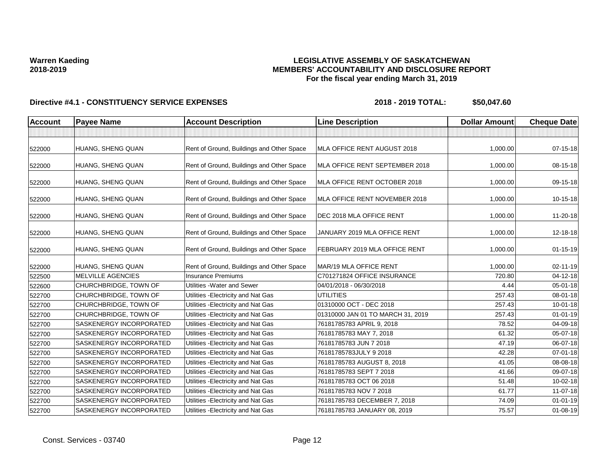## **LEGISLATIVE ASSEMBLY OF SASKATCHEWAN MEMBERS' ACCOUNTABILITY AND DISCLOSURE REPORT For the fiscal year ending March 31, 2019**

| <b>Account</b> | <b>Payee Name</b>              | <b>Account Description</b>                | <b>Line Description</b>           | <b>Dollar Amount</b> | <b>Cheque Date</b> |
|----------------|--------------------------------|-------------------------------------------|-----------------------------------|----------------------|--------------------|
|                |                                |                                           |                                   |                      |                    |
| 522000         | HUANG, SHENG QUAN              | Rent of Ground, Buildings and Other Space | MLA OFFICE RENT AUGUST 2018       | 1,000.00             | $07 - 15 - 18$     |
| 522000         | HUANG, SHENG QUAN              | Rent of Ground, Buildings and Other Space | MLA OFFICE RENT SEPTEMBER 2018    | 1.000.00             | 08-15-18           |
| 522000         | HUANG, SHENG QUAN              | Rent of Ground, Buildings and Other Space | MLA OFFICE RENT OCTOBER 2018      | 1,000.00             | 09-15-18           |
| 522000         | HUANG, SHENG QUAN              | Rent of Ground, Buildings and Other Space | MLA OFFICE RENT NOVEMBER 2018     | 1,000.00             | 10-15-18           |
| 522000         | HUANG, SHENG QUAN              | Rent of Ground, Buildings and Other Space | <b>IDEC 2018 MLA OFFICE RENT</b>  | 1,000.00             | 11-20-18           |
| 522000         | HUANG, SHENG QUAN              | Rent of Ground, Buildings and Other Space | JANUARY 2019 MLA OFFICE RENT      | 1,000.00             | 12-18-18           |
| 522000         | HUANG, SHENG QUAN              | Rent of Ground, Buildings and Other Space | FEBRUARY 2019 MLA OFFICE RENT     | 1,000.00             | $01 - 15 - 19$     |
| 522000         | HUANG, SHENG QUAN              | Rent of Ground, Buildings and Other Space | MAR/19 MLA OFFICE RENT            | 1.000.00             | 02-11-19           |
| 522500         | <b>MELVILLE AGENCIES</b>       | <b>Insurance Premiums</b>                 | C701271824 OFFICE INSURANCE       | 720.80               | $04 - 12 - 18$     |
| 522600         | CHURCHBRIDGE, TOWN OF          | Utilities - Water and Sewer               | 04/01/2018 - 06/30/2018           | 4.44                 | 05-01-18           |
| 522700         | CHURCHBRIDGE, TOWN OF          | Utilities - Electricity and Nat Gas       | <b>UTILITIES</b>                  | 257.43               | 08-01-18           |
| 522700         | <b>CHURCHBRIDGE, TOWN OF</b>   | Utilities - Electricity and Nat Gas       | 01310000 OCT - DEC 2018           | 257.43               | $10 - 01 - 18$     |
| 522700         | CHURCHBRIDGE, TOWN OF          | Utilities - Electricity and Nat Gas       | 01310000 JAN 01 TO MARCH 31, 2019 | 257.43               | $01 - 01 - 19$     |
| 522700         | <b>SASKENERGY INCORPORATED</b> | Utilities - Electricity and Nat Gas       | 76181785783 APRIL 9, 2018         | 78.52                | 04-09-18           |
| 522700         | <b>SASKENERGY INCORPORATED</b> | Utilities - Electricity and Nat Gas       | 76181785783 MAY 7, 2018           | 61.32                | 05-07-18           |
| 522700         | <b>SASKENERGY INCORPORATED</b> | Utilities - Electricity and Nat Gas       | 76181785783 JUN 7 2018            | 47.19                | 06-07-18           |
| 522700         | <b>SASKENERGY INCORPORATED</b> | Utilities - Electricity and Nat Gas       | 76181785783JULY 9 2018            | 42.28                | $07 - 01 - 18$     |
| 522700         | <b>SASKENERGY INCORPORATED</b> | Utilities - Electricity and Nat Gas       | 76181785783 AUGUST 8, 2018        | 41.05                | 08-08-18           |
| 522700         | <b>SASKENERGY INCORPORATED</b> | Utilities - Electricity and Nat Gas       | 76181785783 SEPT 7 2018           | 41.66                | 09-07-18           |
| 522700         | <b>SASKENERGY INCORPORATED</b> | Utilities - Electricity and Nat Gas       | 76181785783 OCT 06 2018           | 51.48                | 10-02-18           |
| 522700         | <b>SASKENERGY INCORPORATED</b> | Utilities - Electricity and Nat Gas       | 76181785783 NOV 7 2018            | 61.77                | 11-07-18           |
| 522700         | <b>SASKENERGY INCORPORATED</b> | Utilities - Electricity and Nat Gas       | 76181785783 DECEMBER 7, 2018      | 74.09                | $01 - 01 - 19$     |
| 522700         | <b>SASKENERGY INCORPORATED</b> | Utilities - Electricity and Nat Gas       | 76181785783 JANUARY 08, 2019      | 75.57                | 01-08-19           |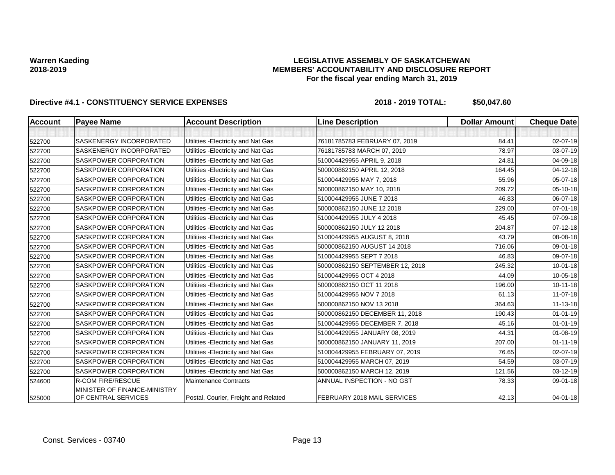### **LEGISLATIVE ASSEMBLY OF SASKATCHEWAN MEMBERS' ACCOUNTABILITY AND DISCLOSURE REPORT For the fiscal year ending March 31, 2019**

| <b>Account</b> | <b>Payee Name</b>                                   | <b>Account Description</b>           | <b>Line Description</b>         | <b>Dollar Amount</b> | <b>Cheque Date</b> |
|----------------|-----------------------------------------------------|--------------------------------------|---------------------------------|----------------------|--------------------|
|                |                                                     |                                      |                                 |                      |                    |
| 522700         | <b>SASKENERGY INCORPORATED</b>                      | Utilities - Electricity and Nat Gas  | 76181785783 FEBRUARY 07, 2019   | 84.41                | 02-07-19           |
| 522700         | <b>SASKENERGY INCORPORATED</b>                      | Utilities - Electricity and Nat Gas  | 76181785783 MARCH 07, 2019      | 78.97                | 03-07-19           |
| 522700         | SASKPOWER CORPORATION                               | Utilities - Electricity and Nat Gas  | 510004429955 APRIL 9, 2018      | 24.81                | 04-09-18           |
| 522700         | <b>SASKPOWER CORPORATION</b>                        | Utilities - Electricity and Nat Gas  | 500000862150 APRIL 12, 2018     | 164.45               | $04 - 12 - 18$     |
| 522700         | SASKPOWER CORPORATION                               | Utilities - Electricity and Nat Gas  | 510004429955 MAY 7, 2018        | 55.96                | 05-07-18           |
| 522700         | <b>SASKPOWER CORPORATION</b>                        | Utilities - Electricity and Nat Gas  | 500000862150 MAY 10, 2018       | 209.72               | 05-10-18           |
| 522700         | SASKPOWER CORPORATION                               | Utilities - Electricity and Nat Gas  | 510004429955 JUNE 7 2018        | 46.83                | 06-07-18           |
| 522700         | <b>SASKPOWER CORPORATION</b>                        | Utilities - Electricity and Nat Gas  | 500000862150 JUNE 12 2018       | 229.00               | $07 - 01 - 18$     |
| 522700         | SASKPOWER CORPORATION                               | Utilities - Electricity and Nat Gas  | 510004429955 JULY 4 2018        | 45.45                | 07-09-18           |
| 522700         | SASKPOWER CORPORATION                               | Utilities - Electricity and Nat Gas  | 500000862150 JULY 12 2018       | 204.87               | $07 - 12 - 18$     |
| 522700         | <b>SASKPOWER CORPORATION</b>                        | Utilities - Electricity and Nat Gas  | 510004429955 AUGUST 8, 2018     | 43.79                | 08-08-18           |
| 522700         | SASKPOWER CORPORATION                               | Utilities - Electricity and Nat Gas  | 500000862150 AUGUST 14 2018     | 716.06               | 09-01-18           |
| 522700         | <b>SASKPOWER CORPORATION</b>                        | Utilities - Electricity and Nat Gas  | 510004429955 SEPT 7 2018        | 46.83                | 09-07-18           |
| 522700         | SASKPOWER CORPORATION                               | Utilities - Electricity and Nat Gas  | 500000862150 SEPTEMBER 12, 2018 | 245.32               | $10 - 01 - 18$     |
| 522700         | <b>SASKPOWER CORPORATION</b>                        | Utilities - Electricity and Nat Gas  | 510004429955 OCT 4 2018         | 44.09                | $10 - 05 - 18$     |
| 522700         | <b>SASKPOWER CORPORATION</b>                        | Utilities - Electricity and Nat Gas  | 500000862150 OCT 11 2018        | 196.00               | $10 - 11 - 18$     |
| 522700         | <b>SASKPOWER CORPORATION</b>                        | Utilities - Electricity and Nat Gas  | 510004429955 NOV 7 2018         | 61.13                | 11-07-18           |
| 522700         | SASKPOWER CORPORATION                               | Utilities - Electricity and Nat Gas  | 500000862150 NOV 13 2018        | 364.63               | $11 - 13 - 18$     |
| 522700         | <b>SASKPOWER CORPORATION</b>                        | Utilities - Electricity and Nat Gas  | 500000862150 DECEMBER 11, 2018  | 190.43               | $01 - 01 - 19$     |
| 522700         | SASKPOWER CORPORATION                               | Utilities - Electricity and Nat Gas  | 510004429955 DECEMBER 7, 2018   | 45.16                | $01 - 01 - 19$     |
| 522700         | <b>SASKPOWER CORPORATION</b>                        | Utilities - Electricity and Nat Gas  | 510004429955 JANUARY 08, 2019   | 44.31                | $01 - 08 - 19$     |
| 522700         | SASKPOWER CORPORATION                               | Utilities - Electricity and Nat Gas  | 500000862150 JANUARY 11, 2019   | 207.00               | $01 - 11 - 19$     |
| 522700         | <b>SASKPOWER CORPORATION</b>                        | Utilities - Electricity and Nat Gas  | 510004429955 FEBRUARY 07, 2019  | 76.65                | 02-07-19           |
| 522700         | SASKPOWER CORPORATION                               | Utilities - Electricity and Nat Gas  | 510004429955 MARCH 07, 2019     | 54.59                | 03-07-19           |
| 522700         | <b>SASKPOWER CORPORATION</b>                        | Utilities - Electricity and Nat Gas  | 500000862150 MARCH 12, 2019     | 121.56               | 03-12-19           |
| 524600         | <b>R-COM FIRE/RESCUE</b>                            | Maintenance Contracts                | ANNUAL INSPECTION - NO GST      | 78.33                | 09-01-18           |
| 525000         | MINISTER OF FINANCE-MINISTRY<br>OF CENTRAL SERVICES | Postal, Courier, Freight and Related | FEBRUARY 2018 MAIL SERVICES     | 42.13                | $04 - 01 - 18$     |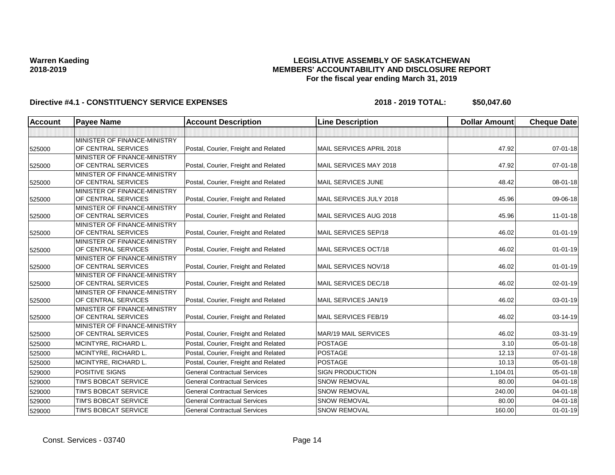## **LEGISLATIVE ASSEMBLY OF SASKATCHEWAN MEMBERS' ACCOUNTABILITY AND DISCLOSURE REPORT For the fiscal year ending March 31, 2019**

| <b>Account</b> | <b>Payee Name</b>                                   | <b>Account Description</b>           | <b>Line Description</b>     | <b>Dollar Amount</b> | <b>Cheque Date</b> |
|----------------|-----------------------------------------------------|--------------------------------------|-----------------------------|----------------------|--------------------|
|                |                                                     |                                      |                             |                      |                    |
| 525000         | MINISTER OF FINANCE-MINISTRY<br>OF CENTRAL SERVICES | Postal, Courier, Freight and Related | MAIL SERVICES APRIL 2018    | 47.92                | 07-01-18           |
| 525000         | MINISTER OF FINANCE-MINISTRY<br>OF CENTRAL SERVICES | Postal, Courier, Freight and Related | MAIL SERVICES MAY 2018      | 47.92                | 07-01-18           |
| 525000         | MINISTER OF FINANCE-MINISTRY<br>OF CENTRAL SERVICES | Postal, Courier, Freight and Related | MAIL SERVICES JUNE          | 48.42                | 08-01-18           |
| 525000         | MINISTER OF FINANCE-MINISTRY<br>OF CENTRAL SERVICES | Postal, Courier, Freight and Related | MAIL SERVICES JULY 2018     | 45.96                | 09-06-18           |
| 525000         | MINISTER OF FINANCE-MINISTRY<br>OF CENTRAL SERVICES | Postal, Courier, Freight and Related | MAIL SERVICES AUG 2018      | 45.96                | $11 - 01 - 18$     |
| 525000         | MINISTER OF FINANCE-MINISTRY<br>OF CENTRAL SERVICES | Postal, Courier, Freight and Related | MAIL SERVICES SEP/18        | 46.02                | $01 - 01 - 19$     |
| 525000         | MINISTER OF FINANCE-MINISTRY<br>OF CENTRAL SERVICES | Postal, Courier, Freight and Related | MAIL SERVICES OCT/18        | 46.02                | $01 - 01 - 19$     |
| 525000         | MINISTER OF FINANCE-MINISTRY<br>OF CENTRAL SERVICES | Postal, Courier, Freight and Related | MAIL SERVICES NOV/18        | 46.02                | $01 - 01 - 19$     |
| 525000         | MINISTER OF FINANCE-MINISTRY<br>OF CENTRAL SERVICES | Postal, Courier, Freight and Related | MAIL SERVICES DEC/18        | 46.02                | $02 - 01 - 19$     |
| 525000         | MINISTER OF FINANCE-MINISTRY<br>OF CENTRAL SERVICES | Postal, Courier, Freight and Related | MAIL SERVICES JAN/19        | 46.02                | 03-01-19           |
| 525000         | MINISTER OF FINANCE-MINISTRY<br>OF CENTRAL SERVICES | Postal, Courier, Freight and Related | MAIL SERVICES FEB/19        | 46.02                | 03-14-19           |
| 525000         | MINISTER OF FINANCE-MINISTRY<br>OF CENTRAL SERVICES | Postal, Courier, Freight and Related | <b>MAR/19 MAIL SERVICES</b> | 46.02                | 03-31-19           |
| 525000         | MCINTYRE, RICHARD L.                                | Postal, Courier, Freight and Related | <b>POSTAGE</b>              | 3.10                 | 05-01-18           |
| 525000         | MCINTYRE, RICHARD L.                                | Postal, Courier, Freight and Related | <b>POSTAGE</b>              | 12.13                | $07 - 01 - 18$     |
| 525000         | MCINTYRE, RICHARD L.                                | Postal, Courier, Freight and Related | <b>POSTAGE</b>              | 10.13                | 05-01-18           |
| 529000         | <b>POSITIVE SIGNS</b>                               | <b>General Contractual Services</b>  | <b>SIGN PRODUCTION</b>      | 1,104.01             | $05 - 01 - 18$     |
| 529000         | TIM'S BOBCAT SERVICE                                | <b>General Contractual Services</b>  | <b>SNOW REMOVAL</b>         | 80.00                | 04-01-18           |
| 529000         | TIM'S BOBCAT SERVICE                                | <b>General Contractual Services</b>  | <b>SNOW REMOVAL</b>         | 240.00               | $04 - 01 - 18$     |
| 529000         | TIM'S BOBCAT SERVICE                                | <b>General Contractual Services</b>  | <b>SNOW REMOVAL</b>         | 80.00                | $04 - 01 - 18$     |
| 529000         | TIM'S BOBCAT SERVICE                                | <b>General Contractual Services</b>  | <b>SNOW REMOVAL</b>         | 160.00               | $01 - 01 - 19$     |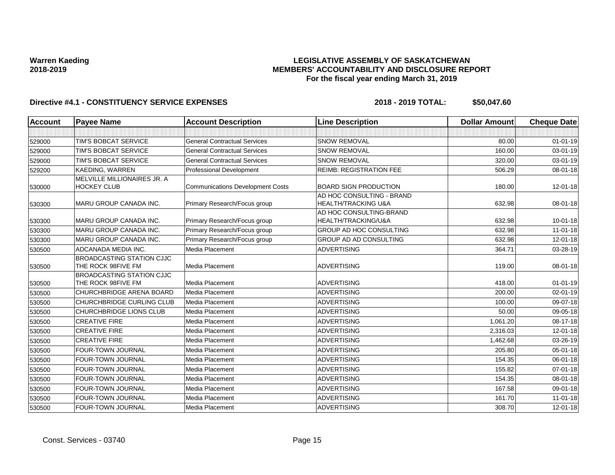### **LEGISLATIVE ASSEMBLY OF SASKATCHEWAN MEMBERS' ACCOUNTABILITY AND DISCLOSURE REPORT For the fiscal year ending March 31, 2019**

| Account | <b>Payee Name</b>                                      | <b>Account Description</b>              | <b>Line Description</b>                                     | <b>Dollar Amount</b> | <b>Cheque Date</b> |
|---------|--------------------------------------------------------|-----------------------------------------|-------------------------------------------------------------|----------------------|--------------------|
|         |                                                        |                                         |                                                             |                      |                    |
| 529000  | TIM'S BOBCAT SERVICE                                   | <b>General Contractual Services</b>     | <b>SNOW REMOVAL</b>                                         | 80.00                | $01 - 01 - 19$     |
| 529000  | TIM'S BOBCAT SERVICE                                   | <b>General Contractual Services</b>     | <b>SNOW REMOVAL</b>                                         | 160.00               | $03 - 01 - 19$     |
| 529000  | TIM'S BOBCAT SERVICE                                   | <b>General Contractual Services</b>     | <b>SNOW REMOVAL</b>                                         | 320.00               | 03-01-19           |
| 529200  | KAEDING, WARREN                                        | Professional Development                | <b>REIMB: REGISTRATION FEE</b>                              | 506.29               | 08-01-18           |
| 530000  | MELVILLE MILLIONAIRES JR. A<br><b>HOCKEY CLUB</b>      | <b>Communications Development Costs</b> | <b>BOARD SIGN PRODUCTION</b>                                | 180.00               | 12-01-18           |
| 530300  | MARU GROUP CANADA INC.                                 | Primary Research/Focus group            | AD HOC CONSULTING - BRAND<br><b>HEALTH/TRACKING U&amp;A</b> | 632.98               | 08-01-18           |
| 530300  | <b>MARU GROUP CANADA INC.</b>                          | Primary Research/Focus group            | AD HOC CONSULTING-BRAND<br>HEALTH/TRACKING/U&A              | 632.98               | $10 - 01 - 18$     |
| 530300  | <b>MARU GROUP CANADA INC.</b>                          | Primary Research/Focus group            | <b>GROUP AD HOC CONSULTING</b>                              | 632.98               | $11-01-18$         |
| 530300  | MARU GROUP CANADA INC.                                 | Primary Research/Focus group            | GROUP AD AD CONSULTING                                      | 632.98               | $12 - 01 - 18$     |
| 530500  | ADCANADA MEDIA INC.                                    | Media Placement                         | <b>ADVERTISING</b>                                          | 364.71               | 03-28-19           |
| 530500  | <b>BROADCASTING STATION CJJC</b><br>THE ROCK 98FIVE FM | Media Placement                         | <b>ADVERTISING</b>                                          | 119.00               | 08-01-18           |
| 530500  | <b>BROADCASTING STATION CJJC</b><br>THE ROCK 98FIVE FM | Media Placement                         | <b>ADVERTISING</b>                                          | 418.00               | $01 - 01 - 19$     |
| 530500  | CHURCHBRIDGE ARENA BOARD                               | Media Placement                         | <b>ADVERTISING</b>                                          | 200.00               | $02 - 01 - 19$     |
| 530500  | <b>CHURCHBRIDGE CURLING CLUB</b>                       | Media Placement                         | <b>ADVERTISING</b>                                          | 100.00               | 09-07-18           |
| 530500  | CHURCHBRIDGE LIONS CLUB                                | Media Placement                         | <b>ADVERTISING</b>                                          | 50.00                | 09-05-18           |
| 530500  | <b>CREATIVE FIRE</b>                                   | Media Placement                         | <b>ADVERTISING</b>                                          | 1,061.20             | 08-17-18           |
| 530500  | <b>CREATIVE FIRE</b>                                   | Media Placement                         | <b>ADVERTISING</b>                                          | 2,316.03             | $12 - 01 - 18$     |
| 530500  | <b>CREATIVE FIRE</b>                                   | Media Placement                         | <b>ADVERTISING</b>                                          | 1,462.68             | 03-26-19           |
| 530500  | FOUR-TOWN JOURNAL                                      | Media Placement                         | <b>ADVERTISING</b>                                          | 205.80               | 05-01-18           |
| 530500  | <b>FOUR-TOWN JOURNAL</b>                               | Media Placement                         | <b>ADVERTISING</b>                                          | 154.35               | 06-01-18           |
| 530500  | FOUR-TOWN JOURNAL                                      | Media Placement                         | <b>ADVERTISING</b>                                          | 155.82               | 07-01-18           |
| 530500  | FOUR-TOWN JOURNAL                                      | Media Placement                         | <b>ADVERTISING</b>                                          | 154.35               | 08-01-18           |
| 530500  | FOUR-TOWN JOURNAL                                      | Media Placement                         | <b>ADVERTISING</b>                                          | 167.58               | 09-01-18           |
| 530500  | FOUR-TOWN JOURNAL                                      | Media Placement                         | <b>ADVERTISING</b>                                          | 161.70               | 11-01-18           |
| 530500  | <b>FOUR-TOWN JOURNAL</b>                               | Media Placement                         | <b>ADVERTISING</b>                                          | 308.70               | $12 - 01 - 18$     |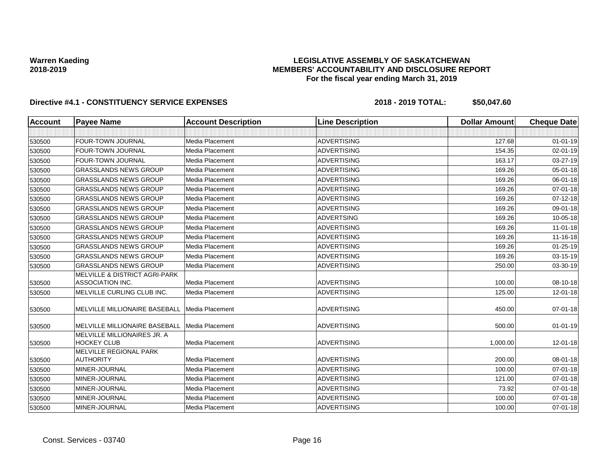## **LEGISLATIVE ASSEMBLY OF SASKATCHEWAN MEMBERS' ACCOUNTABILITY AND DISCLOSURE REPORT For the fiscal year ending March 31, 2019**

| <b>Account</b> | <b>Payee Name</b>                                                   | <b>Account Description</b> | <b>Line Description</b> | <b>Dollar Amount</b> | <b>Cheque Date</b> |
|----------------|---------------------------------------------------------------------|----------------------------|-------------------------|----------------------|--------------------|
|                |                                                                     |                            |                         |                      |                    |
| 530500         | <b>FOUR-TOWN JOURNAL</b>                                            | Media Placement            | <b>ADVERTISING</b>      | 127.68               | $01 - 01 - 19$     |
| 530500         | <b>FOUR-TOWN JOURNAL</b>                                            | Media Placement            | <b>ADVERTISING</b>      | 154.35               | $02 - 01 - 19$     |
| 530500         | FOUR-TOWN JOURNAL                                                   | Media Placement            | <b>ADVERTISING</b>      | 163.17               | 03-27-19           |
| 530500         | <b>GRASSLANDS NEWS GROUP</b>                                        | Media Placement            | <b>ADVERTISING</b>      | 169.26               | $05 - 01 - 18$     |
| 530500         | <b>GRASSLANDS NEWS GROUP</b>                                        | Media Placement            | <b>ADVERTISING</b>      | 169.26               | 06-01-18           |
| 530500         | <b>GRASSLANDS NEWS GROUP</b>                                        | Media Placement            | <b>ADVERTISING</b>      | 169.26               | 07-01-18           |
| 530500         | <b>GRASSLANDS NEWS GROUP</b>                                        | Media Placement            | <b>ADVERTISING</b>      | 169.26               | $07 - 12 - 18$     |
| 530500         | <b>GRASSLANDS NEWS GROUP</b>                                        | Media Placement            | <b>ADVERTISING</b>      | 169.26               | 09-01-18           |
| 530500         | <b>GRASSLANDS NEWS GROUP</b>                                        | Media Placement            | <b>ADVERTSING</b>       | 169.26               | $10 - 05 - 18$     |
| 530500         | <b>GRASSLANDS NEWS GROUP</b>                                        | Media Placement            | <b>ADVERTISING</b>      | 169.26               | $11-01-18$         |
| 530500         | <b>GRASSLANDS NEWS GROUP</b>                                        | <b>Media Placement</b>     | <b>ADVERTISING</b>      | 169.26               | 11-16-18           |
| 530500         | <b>GRASSLANDS NEWS GROUP</b>                                        | Media Placement            | <b>ADVERTISING</b>      | 169.26               | $01 - 25 - 19$     |
| 530500         | <b>GRASSLANDS NEWS GROUP</b>                                        | Media Placement            | <b>ADVERTISING</b>      | 169.26               | 03-15-19           |
| 530500         | <b>GRASSLANDS NEWS GROUP</b>                                        | Media Placement            | <b>ADVERTISING</b>      | 250.00               | 03-30-19           |
| 530500         | <b>MELVILLE &amp; DISTRICT AGRI-PARK</b><br><b>ASSOCIATION INC.</b> | Media Placement            | <b>ADVERTISING</b>      | 100.00               | 08-10-18           |
| 530500         | MELVILLE CURLING CLUB INC.                                          | Media Placement            | <b>ADVERTISING</b>      | 125.00               | $12 - 01 - 18$     |
| 530500         | MELVILLE MILLIONAIRE BASEBALL                                       | Media Placement            | <b>ADVERTISING</b>      | 450.00               | $07 - 01 - 18$     |
| 530500         | MELVILLE MILLIONAIRE BASEBALL                                       | Media Placement            | <b>ADVERTISING</b>      | 500.00               | $01 - 01 - 19$     |
| 530500         | <b>MELVILLE MILLIONAIRES JR. A</b><br><b>HOCKEY CLUB</b>            | Media Placement            | <b>ADVERTISING</b>      | 1,000.00             | $12 - 01 - 18$     |
| 530500         | MELVILLE REGIONAL PARK<br><b>AUTHORITY</b>                          | Media Placement            | <b>ADVERTISING</b>      | 200.00               | 08-01-18           |
| 530500         | MINER-JOURNAL                                                       | Media Placement            | <b>ADVERTISING</b>      | 100.00               | 07-01-18           |
| 530500         | MINER-JOURNAL                                                       | Media Placement            | <b>ADVERTISING</b>      | 121.00               | 07-01-18           |
| 530500         | MINER-JOURNAL                                                       | Media Placement            | <b>ADVERTISING</b>      | 73.92                | $07 - 01 - 18$     |
| 530500         | MINER-JOURNAL                                                       | Media Placement            | <b>ADVERTISING</b>      | 100.00               | $07 - 01 - 18$     |
| 530500         | MINER-JOURNAL                                                       | Media Placement            | <b>ADVERTISING</b>      | 100.00               | $07 - 01 - 18$     |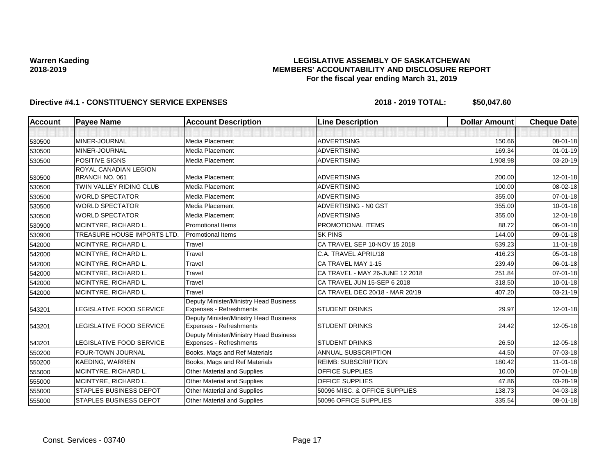## **LEGISLATIVE ASSEMBLY OF SASKATCHEWAN MEMBERS' ACCOUNTABILITY AND DISCLOSURE REPORT For the fiscal year ending March 31, 2019**

| <b>Account</b> | <b>Payee Name</b>                  | <b>Account Description</b>                                        | <b>Line Description</b>         | <b>Dollar Amount</b> | <b>Cheque Date</b> |
|----------------|------------------------------------|-------------------------------------------------------------------|---------------------------------|----------------------|--------------------|
|                |                                    |                                                                   |                                 |                      |                    |
| 530500         | MINER-JOURNAL                      | <b>Media Placement</b>                                            | <b>ADVERTISING</b>              | 150.66               | 08-01-18           |
| 530500         | MINER-JOURNAL                      | Media Placement                                                   | <b>ADVERTISING</b>              | 169.34               | $01 - 01 - 19$     |
| 530500         | POSITIVE SIGNS                     | Media Placement                                                   | <b>ADVERTISING</b>              | 1,908.98             | 03-20-19           |
|                | ROYAL CANADIAN LEGION              |                                                                   |                                 |                      |                    |
| 530500         | BRANCH NO. 061                     | Media Placement                                                   | <b>ADVERTISING</b>              | 200.00               | $12 - 01 - 18$     |
| 530500         | TWIN VALLEY RIDING CLUB            | Media Placement                                                   | <b>ADVERTISING</b>              | 100.00               | 08-02-18           |
| 530500         | <b>WORLD SPECTATOR</b>             | Media Placement                                                   | <b>ADVERTISING</b>              | 355.00               | $07 - 01 - 18$     |
| 530500         | <b>WORLD SPECTATOR</b>             | Media Placement                                                   | ADVERTISING - NO GST            | 355.00               | $10 - 01 - 18$     |
| 530500         | <b>WORLD SPECTATOR</b>             | Media Placement                                                   | <b>ADVERTISING</b>              | 355.00               | 12-01-18           |
| 530900         | MCINTYRE, RICHARD L.               | Promotional Items                                                 | PROMOTIONAL ITEMS               | 88.72                | 06-01-18           |
| 530900         | <b>TREASURE HOUSE IMPORTS LTD.</b> | <b>Promotional Items</b>                                          | <b>SK PINS</b>                  | 144.00               | 09-01-18           |
| 542000         | MCINTYRE, RICHARD L.               | Travel                                                            | CA TRAVEL SEP 10-NOV 15 2018    | 539.23               | $11-01-18$         |
| 542000         | MCINTYRE, RICHARD L.               | Travel                                                            | C.A. TRAVEL APRIL/18            | 416.23               | 05-01-18           |
| 542000         | MCINTYRE, RICHARD L.               | Travel                                                            | CA TRAVEL MAY 1-15              | 239.49               | 06-01-18           |
| 542000         | MCINTYRE, RICHARD L.               | Travel                                                            | CA TRAVEL - MAY 26-JUNE 12 2018 | 251.84               | $07 - 01 - 18$     |
| 542000         | MCINTYRE, RICHARD L.               | Travel                                                            | CA TRAVEL JUN 15-SEP 6 2018     | 318.50               | $10 - 01 - 18$     |
| 542000         | MCINTYRE, RICHARD L.               | Travel                                                            | CA TRAVEL DEC 20/18 - MAR 20/19 | 407.20               | 03-21-19           |
| 543201         | <b>LEGISLATIVE FOOD SERVICE</b>    | Deputy Minister/Ministry Head Business<br>Expenses - Refreshments | <b>STUDENT DRINKS</b>           | 29.97                | 12-01-18           |
| 543201         | LEGISLATIVE FOOD SERVICE           | Deputy Minister/Ministry Head Business<br>Expenses - Refreshments | <b>STUDENT DRINKS</b>           | 24.42                | 12-05-18           |
| 543201         | LEGISLATIVE FOOD SERVICE           | Deputy Minister/Ministry Head Business<br>Expenses - Refreshments | <b>STUDENT DRINKS</b>           | 26.50                | 12-05-18           |
| 550200         | <b>FOUR-TOWN JOURNAL</b>           | Books, Mags and Ref Materials                                     | ANNUAL SUBSCRIPTION             | 44.50                | 07-03-18           |
| 550200         | KAEDING, WARREN                    | Books, Mags and Ref Materials                                     | <b>REIMB: SUBSCRIPTION</b>      | 180.42               | $11-01-18$         |
| 555000         | MCINTYRE, RICHARD L.               | Other Material and Supplies                                       | <b>OFFICE SUPPLIES</b>          | 10.00                | $07 - 01 - 18$     |
| 555000         | MCINTYRE, RICHARD L.               | Other Material and Supplies                                       | <b>OFFICE SUPPLIES</b>          | 47.86                | 03-28-19           |
| 555000         | <b>STAPLES BUSINESS DEPOT</b>      | Other Material and Supplies                                       | 50096 MISC. & OFFICE SUPPLIES   | 138.73               | 04-03-18           |
| 555000         | <b>STAPLES BUSINESS DEPOT</b>      | Other Material and Supplies                                       | 50096 OFFICE SUPPLIES           | 335.54               | 08-01-18           |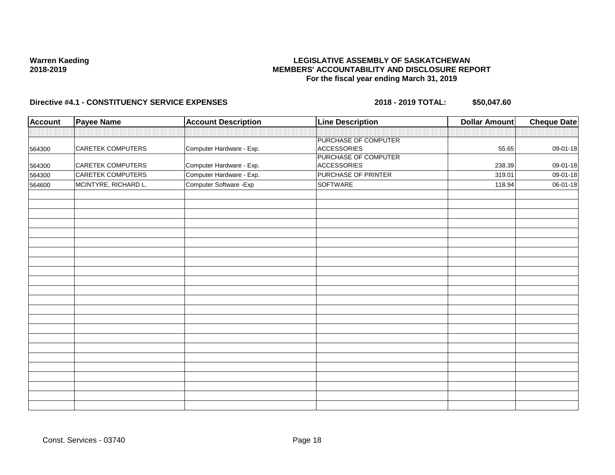### **LEGISLATIVE ASSEMBLY OF SASKATCHEWAN MEMBERS' ACCOUNTABILITY AND DISCLOSURE REPORT For the fiscal year ending March 31, 2019**

| <b>Account</b> | <b>Payee Name</b>        | <b>Account Description</b> | <b>Line Description</b>                    | <b>Dollar Amount</b> | <b>Cheque Date</b> |
|----------------|--------------------------|----------------------------|--------------------------------------------|----------------------|--------------------|
|                |                          |                            |                                            |                      |                    |
| 564300         | <b>CARETEK COMPUTERS</b> | Computer Hardware - Exp.   | PURCHASE OF COMPUTER<br><b>ACCESSORIES</b> | 55.65                | 09-01-18           |
| 564300         | <b>CARETEK COMPUTERS</b> | Computer Hardware - Exp.   | PURCHASE OF COMPUTER<br><b>ACCESSORIES</b> | 238.39               | 09-01-18           |
| 564300         | <b>CARETEK COMPUTERS</b> | Computer Hardware - Exp.   | PURCHASE OF PRINTER                        | 319.01               | 09-01-18           |
| 564600         | MCINTYRE, RICHARD L.     | Computer Software - Exp    | SOFTWARE                                   | 118.94               | 06-01-18           |
|                |                          |                            |                                            |                      |                    |
|                |                          |                            |                                            |                      |                    |
|                |                          |                            |                                            |                      |                    |
|                |                          |                            |                                            |                      |                    |
|                |                          |                            |                                            |                      |                    |
|                |                          |                            |                                            |                      |                    |
|                |                          |                            |                                            |                      |                    |
|                |                          |                            |                                            |                      |                    |
|                |                          |                            |                                            |                      |                    |
|                |                          |                            |                                            |                      |                    |
|                |                          |                            |                                            |                      |                    |
|                |                          |                            |                                            |                      |                    |
|                |                          |                            |                                            |                      |                    |
|                |                          |                            |                                            |                      |                    |
|                |                          |                            |                                            |                      |                    |
|                |                          |                            |                                            |                      |                    |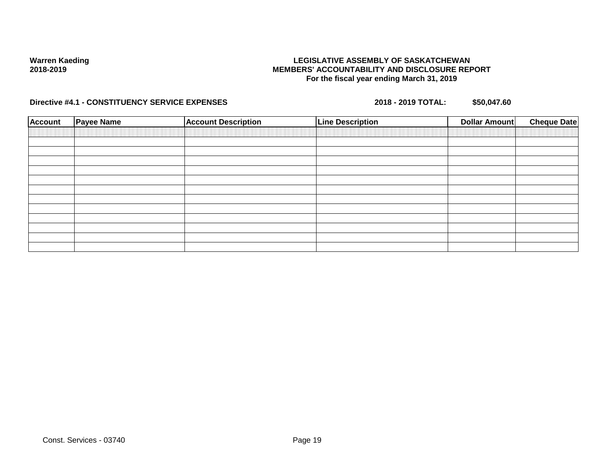### **LEGISLATIVE ASSEMBLY OF SASKATCHEWAN MEMBERS' ACCOUNTABILITY AND DISCLOSURE REPORT For the fiscal year ending March 31, 2019**

| <b>Account</b> | <b>Payee Name</b> | <b>Account Description</b> | <b>Line Description</b> | <b>Cheque Date</b><br>Dollar Amount |
|----------------|-------------------|----------------------------|-------------------------|-------------------------------------|
|                |                   |                            |                         |                                     |
|                |                   |                            |                         |                                     |
|                |                   |                            |                         |                                     |
|                |                   |                            |                         |                                     |
|                |                   |                            |                         |                                     |
|                |                   |                            |                         |                                     |
|                |                   |                            |                         |                                     |
|                |                   |                            |                         |                                     |
|                |                   |                            |                         |                                     |
|                |                   |                            |                         |                                     |
|                |                   |                            |                         |                                     |
|                |                   |                            |                         |                                     |
|                |                   |                            |                         |                                     |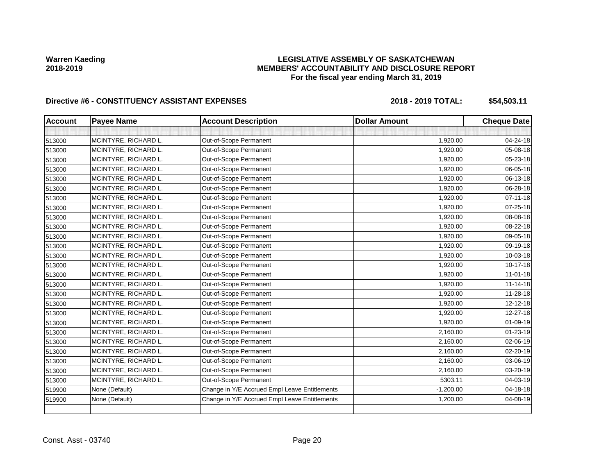## **LEGISLATIVE ASSEMBLY OF SASKATCHEWAN MEMBERS' ACCOUNTABILITY AND DISCLOSURE REPORT For the fiscal year ending March 31, 2019**

| <b>Account</b> | <b>Payee Name</b>    | <b>Account Description</b>                    | <b>Dollar Amount</b> | <b>Cheque Date</b> |
|----------------|----------------------|-----------------------------------------------|----------------------|--------------------|
|                |                      |                                               |                      |                    |
| 513000         | MCINTYRE, RICHARD L. | Out-of-Scope Permanent                        | 1,920.00             | 04-24-18           |
| 513000         | MCINTYRE, RICHARD L. | Out-of-Scope Permanent                        | 1,920.00             | 05-08-18           |
| 513000         | MCINTYRE, RICHARD L. | Out-of-Scope Permanent                        | 1,920.00             | 05-23-18           |
| 513000         | MCINTYRE, RICHARD L. | Out-of-Scope Permanent                        | 1,920.00             | 06-05-18           |
| 513000         | MCINTYRE, RICHARD L. | Out-of-Scope Permanent                        | 1,920.00             | 06-13-18           |
| 513000         | MCINTYRE, RICHARD L. | Out-of-Scope Permanent                        | 1,920.00             | 06-28-18           |
| 513000         | MCINTYRE, RICHARD L. | Out-of-Scope Permanent                        | 1,920.00             | $07 - 11 - 18$     |
| 513000         | MCINTYRE, RICHARD L. | Out-of-Scope Permanent                        | 1,920.00             | 07-25-18           |
| 513000         | MCINTYRE, RICHARD L. | Out-of-Scope Permanent                        | 1,920.00             | 08-08-18           |
| 513000         | MCINTYRE, RICHARD L. | Out-of-Scope Permanent                        | 1,920.00             | 08-22-18           |
| 513000         | MCINTYRE, RICHARD L. | Out-of-Scope Permanent                        | 1,920.00             | 09-05-18           |
| 513000         | MCINTYRE, RICHARD L. | Out-of-Scope Permanent                        | 1,920.00             | 09-19-18           |
| 513000         | MCINTYRE, RICHARD L. | Out-of-Scope Permanent                        | 1,920.00             | 10-03-18           |
| 513000         | MCINTYRE, RICHARD L. | Out-of-Scope Permanent                        | 1,920.00             | 10-17-18           |
| 513000         | MCINTYRE, RICHARD L. | Out-of-Scope Permanent                        | 1,920.00             | $11 - 01 - 18$     |
| 513000         | MCINTYRE, RICHARD L. | Out-of-Scope Permanent                        | 1,920.00             | $11 - 14 - 18$     |
| 513000         | MCINTYRE, RICHARD L. | Out-of-Scope Permanent                        | 1,920.00             | 11-28-18           |
| 513000         | MCINTYRE, RICHARD L. | Out-of-Scope Permanent                        | 1,920.00             | 12-12-18           |
| 513000         | MCINTYRE, RICHARD L. | Out-of-Scope Permanent                        | 1,920.00             | 12-27-18           |
| 513000         | MCINTYRE, RICHARD L. | Out-of-Scope Permanent                        | 1,920.00             | 01-09-19           |
| 513000         | MCINTYRE, RICHARD L. | Out-of-Scope Permanent                        | 2,160.00             | 01-23-19           |
| 513000         | MCINTYRE, RICHARD L. | Out-of-Scope Permanent                        | 2,160.00             | 02-06-19           |
| 513000         | MCINTYRE, RICHARD L. | Out-of-Scope Permanent                        | 2,160.00             | 02-20-19           |
| 513000         | MCINTYRE, RICHARD L. | Out-of-Scope Permanent                        | 2,160.00             | 03-06-19           |
| 513000         | MCINTYRE, RICHARD L. | Out-of-Scope Permanent                        | 2,160.00             | 03-20-19           |
| 513000         | MCINTYRE, RICHARD L. | Out-of-Scope Permanent                        | 5303.11              | 04-03-19           |
| 519900         | None (Default)       | Change in Y/E Accrued Empl Leave Entitlements | $-1,200.00$          | 04-18-18           |
| 519900         | None (Default)       | Change in Y/E Accrued Empl Leave Entitlements | 1,200.00             | 04-08-19           |
|                |                      |                                               |                      |                    |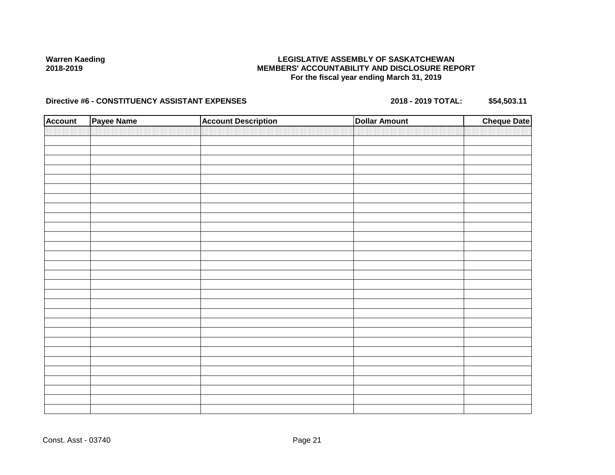## **LEGISLATIVE ASSEMBLY OF SASKATCHEWAN MEMBERS' ACCOUNTABILITY AND DISCLOSURE REPORT For the fiscal year ending March 31, 2019**

| <b>Account</b> | Payee Name | <b>Account Description</b> | <b>Dollar Amount</b> | <b>Cheque Date</b> |
|----------------|------------|----------------------------|----------------------|--------------------|
|                |            |                            |                      |                    |
|                |            |                            |                      |                    |
|                |            |                            |                      |                    |
|                |            |                            |                      |                    |
|                |            |                            |                      |                    |
|                |            |                            |                      |                    |
|                |            |                            |                      |                    |
|                |            |                            |                      |                    |
|                |            |                            |                      |                    |
|                |            |                            |                      |                    |
|                |            |                            |                      |                    |
|                |            |                            |                      |                    |
|                |            |                            |                      |                    |
|                |            |                            |                      |                    |
|                |            |                            |                      |                    |
|                |            |                            |                      |                    |
|                |            |                            |                      |                    |
|                |            |                            |                      |                    |
|                |            |                            |                      |                    |
|                |            |                            |                      |                    |
|                |            |                            |                      |                    |
|                |            |                            |                      |                    |
|                |            |                            |                      |                    |
|                |            |                            |                      |                    |
|                |            |                            |                      |                    |
|                |            |                            |                      |                    |
|                |            |                            |                      |                    |
|                |            |                            |                      |                    |
|                |            |                            |                      |                    |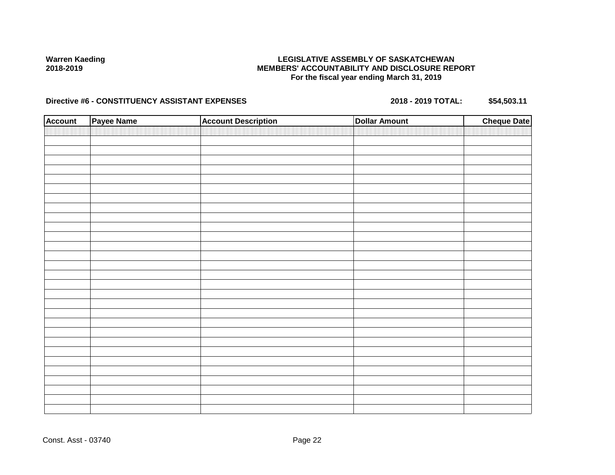## **LEGISLATIVE ASSEMBLY OF SASKATCHEWAN MEMBERS' ACCOUNTABILITY AND DISCLOSURE REPORT For the fiscal year ending March 31, 2019**

| <b>Account</b> | Payee Name | <b>Account Description</b> | <b>Dollar Amount</b> | <b>Cheque Date</b> |
|----------------|------------|----------------------------|----------------------|--------------------|
|                |            |                            |                      |                    |
|                |            |                            |                      |                    |
|                |            |                            |                      |                    |
|                |            |                            |                      |                    |
|                |            |                            |                      |                    |
|                |            |                            |                      |                    |
|                |            |                            |                      |                    |
|                |            |                            |                      |                    |
|                |            |                            |                      |                    |
|                |            |                            |                      |                    |
|                |            |                            |                      |                    |
|                |            |                            |                      |                    |
|                |            |                            |                      |                    |
|                |            |                            |                      |                    |
|                |            |                            |                      |                    |
|                |            |                            |                      |                    |
|                |            |                            |                      |                    |
|                |            |                            |                      |                    |
|                |            |                            |                      |                    |
|                |            |                            |                      |                    |
|                |            |                            |                      |                    |
|                |            |                            |                      |                    |
|                |            |                            |                      |                    |
|                |            |                            |                      |                    |
|                |            |                            |                      |                    |
|                |            |                            |                      |                    |
|                |            |                            |                      |                    |
|                |            |                            |                      |                    |
|                |            |                            |                      |                    |